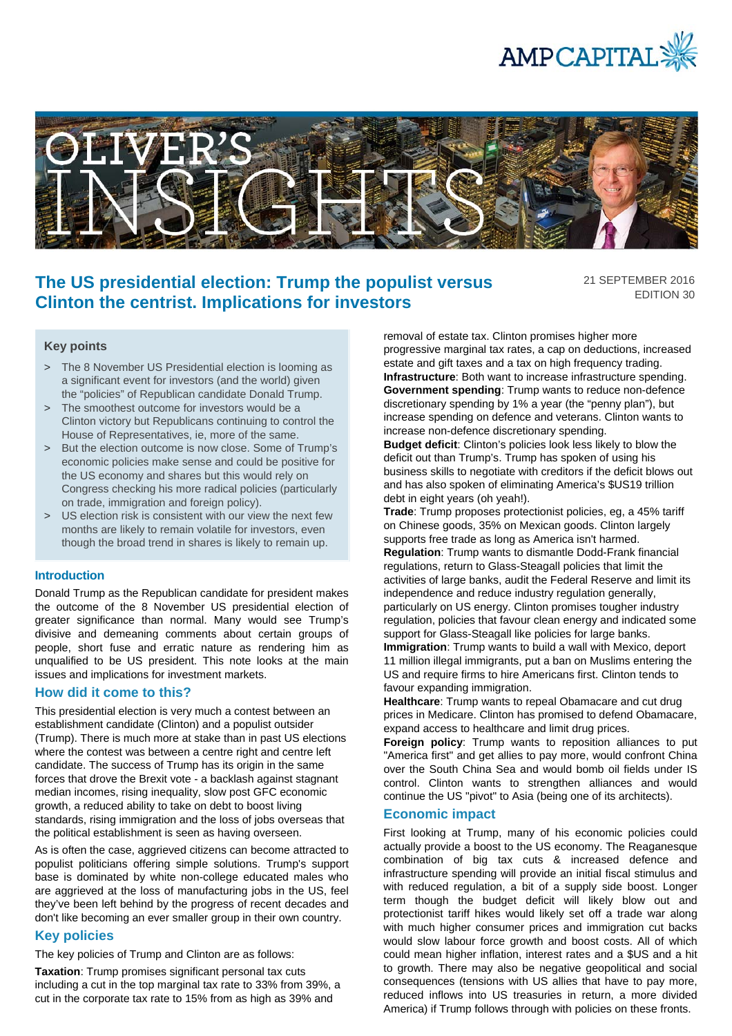



# **The US presidential election: Trump the populist versus Clinton the centrist. Implications for investors**

21 SEPTEMBER 2016 EDITION 30

## **Key points**

- > The 8 November US Presidential election is looming as a significant event for investors (and the world) given the "policies" of Republican candidate Donald Trump.
- > The smoothest outcome for investors would be a Clinton victory but Republicans continuing to control the House of Representatives, ie, more of the same.
- > But the election outcome is now close. Some of Trump's economic policies make sense and could be positive for the US economy and shares but this would rely on Congress checking his more radical policies (particularly on trade, immigration and foreign policy).
- > US election risk is consistent with our view the next few months are likely to remain volatile for investors, even though the broad trend in shares is likely to remain up.

### **Introduction**

Donald Trump as the Republican candidate for president makes the outcome of the 8 November US presidential election of greater significance than normal. Many would see Trump's divisive and demeaning comments about certain groups of people, short fuse and erratic nature as rendering him as unqualified to be US president. This note looks at the main issues and implications for investment markets.

### **How did it come to this?**

This presidential election is very much a contest between an establishment candidate (Clinton) and a populist outsider (Trump). There is much more at stake than in past US elections where the contest was between a centre right and centre left candidate. The success of Trump has its origin in the same forces that drove the Brexit vote - a backlash against stagnant median incomes, rising inequality, slow post GFC economic growth, a reduced ability to take on debt to boost living standards, rising immigration and the loss of jobs overseas that the political establishment is seen as having overseen.

As is often the case, aggrieved citizens can become attracted to populist politicians offering simple solutions. Trump's support base is dominated by white non-college educated males who are aggrieved at the loss of manufacturing jobs in the US, feel they've been left behind by the progress of recent decades and don't like becoming an ever smaller group in their own country.

# **Key policies**

The key policies of Trump and Clinton are as follows:

**Taxation**: Trump promises significant personal tax cuts including a cut in the top marginal tax rate to 33% from 39%, a cut in the corporate tax rate to 15% from as high as 39% and

removal of estate tax. Clinton promises higher more progressive marginal tax rates, a cap on deductions, increased estate and gift taxes and a tax on high frequency trading. **Infrastructure**: Both want to increase infrastructure spending. **Government spending**: Trump wants to reduce non-defence discretionary spending by 1% a year (the "penny plan"), but increase spending on defence and veterans. Clinton wants to increase non-defence discretionary spending.

**Budget deficit**: Clinton's policies look less likely to blow the deficit out than Trump's. Trump has spoken of using his business skills to negotiate with creditors if the deficit blows out and has also spoken of eliminating America's \$US19 trillion debt in eight years (oh yeah!).

**Trade**: Trump proposes protectionist policies, eg, a 45% tariff on Chinese goods, 35% on Mexican goods. Clinton largely supports free trade as long as America isn't harmed. **Regulation**: Trump wants to dismantle Dodd-Frank financial regulations, return to Glass-Steagall policies that limit the activities of large banks, audit the Federal Reserve and limit its independence and reduce industry regulation generally, particularly on US energy. Clinton promises tougher industry regulation, policies that favour clean energy and indicated some support for Glass-Steagall like policies for large banks. **Immigration**: Trump wants to build a wall with Mexico, deport 11 million illegal immigrants, put a ban on Muslims entering the US and require firms to hire Americans first. Clinton tends to favour expanding immigration.

**Healthcare**: Trump wants to repeal Obamacare and cut drug prices in Medicare. Clinton has promised to defend Obamacare, expand access to healthcare and limit drug prices.

**Foreign policy:** Trump wants to reposition alliances to put "America first" and get allies to pay more, would confront China over the South China Sea and would bomb oil fields under IS control. Clinton wants to strengthen alliances and would continue the US "pivot" to Asia (being one of its architects).

### **Economic impact**

First looking at Trump, many of his economic policies could actually provide a boost to the US economy. The Reaganesque combination of big tax cuts & increased defence and infrastructure spending will provide an initial fiscal stimulus and with reduced regulation, a bit of a supply side boost. Longer term though the budget deficit will likely blow out and protectionist tariff hikes would likely set off a trade war along with much higher consumer prices and immigration cut backs would slow labour force growth and boost costs. All of which could mean higher inflation, interest rates and a \$US and a hit to growth. There may also be negative geopolitical and social consequences (tensions with US allies that have to pay more, reduced inflows into US treasuries in return, a more divided America) if Trump follows through with policies on these fronts.